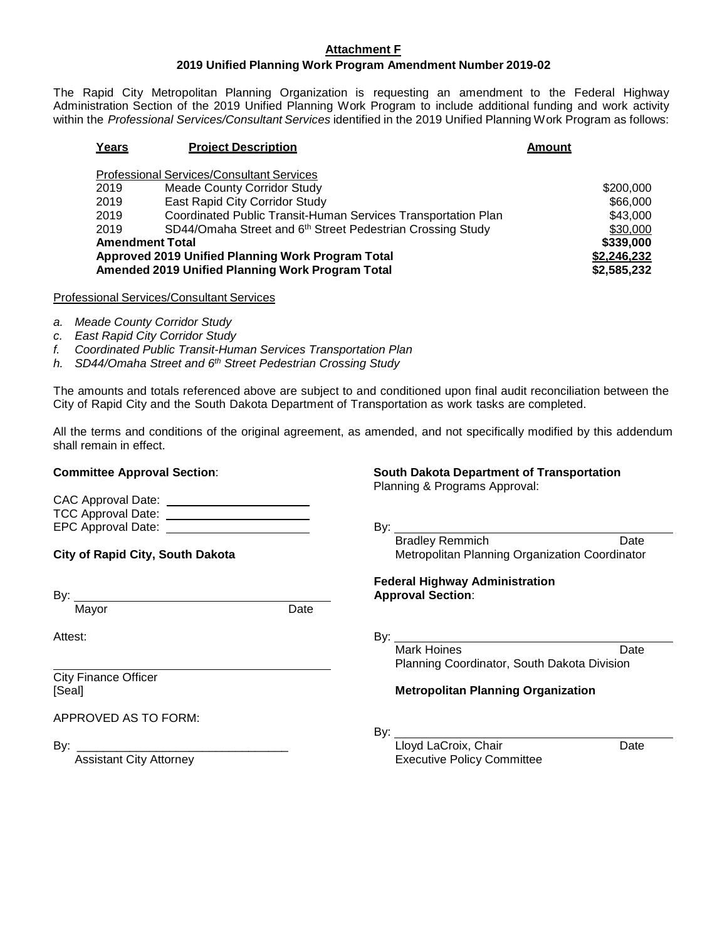### **Attachment F**

## **2019 Unified Planning Work Program Amendment Number 2019-02**

The Rapid City Metropolitan Planning Organization is requesting an amendment to the Federal Highway Administration Section of the 2019 Unified Planning Work Program to include additional funding and work activity within the *Professional Services/Consultant Services* identified in the 2019 Unified Planning Work Program as follows:

| Years                                                           | <b>Project Description</b>                                             | <b>Amount</b> |  |  |  |  |  |
|-----------------------------------------------------------------|------------------------------------------------------------------------|---------------|--|--|--|--|--|
| <b>Professional Services/Consultant Services</b>                |                                                                        |               |  |  |  |  |  |
| 2019                                                            | <b>Meade County Corridor Study</b>                                     | \$200,000     |  |  |  |  |  |
| 2019                                                            | East Rapid City Corridor Study                                         | \$66,000      |  |  |  |  |  |
| 2019                                                            | Coordinated Public Transit-Human Services Transportation Plan          | \$43,000      |  |  |  |  |  |
| 2019                                                            | SD44/Omaha Street and 6 <sup>th</sup> Street Pedestrian Crossing Study | \$30,000      |  |  |  |  |  |
| <b>Amendment Total</b>                                          |                                                                        |               |  |  |  |  |  |
| Approved 2019 Unified Planning Work Program Total               | \$2,246,232                                                            |               |  |  |  |  |  |
| Amended 2019 Unified Planning Work Program Total<br>\$2,585,232 |                                                                        |               |  |  |  |  |  |
|                                                                 |                                                                        |               |  |  |  |  |  |

Professional Services/Consultant Services

- *a. Meade County Corridor Study*
- *c. East Rapid City Corridor Study*
- *f. Coordinated Public Transit-Human Services Transportation Plan*
- *h. SD44/Omaha Street and 6th Street Pedestrian Crossing Study*

The amounts and totals referenced above are subject to and conditioned upon final audit reconciliation between the City of Rapid City and the South Dakota Department of Transportation as work tasks are completed.

All the terms and conditions of the original agreement, as amended, and not specifically modified by this addendum shall remain in effect.

**Committee Approval Section**: **South Dakota Department of Transportation**

Planning & Programs Approval:

**Federal Highway Administration**

| CAC Approval Date:        |     |
|---------------------------|-----|
| <b>TCC Approval Date:</b> |     |
| EPC Approval Date:        | Bv: |

**City of Rapid City, South Dakota** Metropolitan Planning Organization Coordinator

By: **Approval Section**:

Mayor Date

 $\overline{O}$  Apple Date:

Attest: By:

City Finance Officer

APPROVED AS TO FORM:

Mark Hoines **Date** Planning Coordinator, South Dakota Division

Bradley Remmich Date

### [Seal] **Metropolitan Planning Organization**

By:

By: <u>Lloyd LaCroix, Chair Chair Date</u> Assistant City Attorney **Executive Policy Committee**